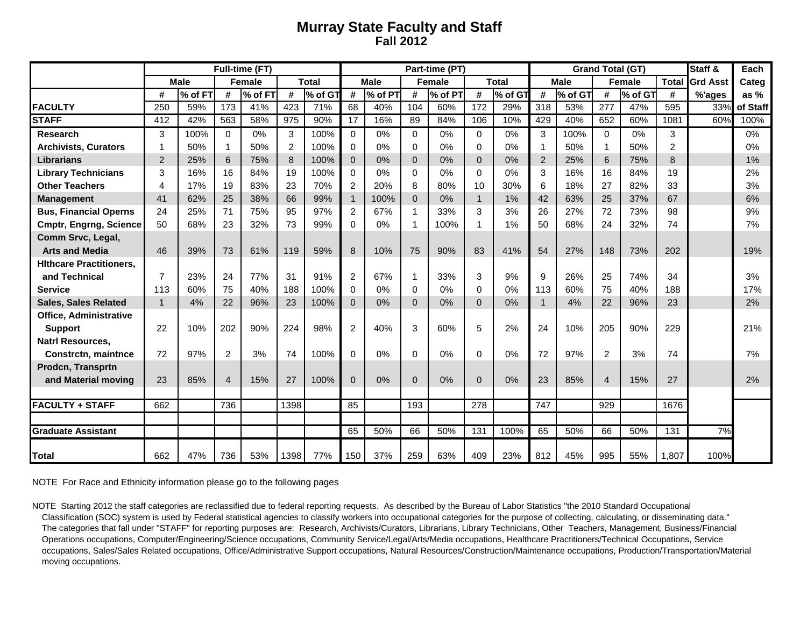## **Murray State Faculty and Staff Fall 2012**

|                                |                |         |                | Full-time (FT) |                |         |                |             |              | Part-time (PT) |              |              |                | <b>Grand Total (GT)</b> | Staff &        | Each    |                |                 |          |
|--------------------------------|----------------|---------|----------------|----------------|----------------|---------|----------------|-------------|--------------|----------------|--------------|--------------|----------------|-------------------------|----------------|---------|----------------|-----------------|----------|
|                                | <b>Male</b>    |         | <b>Female</b>  |                | <b>Total</b>   |         |                | <b>Male</b> |              | <b>Female</b>  |              | <b>Total</b> |                | <b>Male</b>             | <b>Female</b>  |         | <b>Total</b>   | <b>Grd Asst</b> | Categ    |
|                                | #              | % of FT | #              | % of FT        | #              | % of GT | #              | % of PT     | #            | % of PT        | #            | % of GT      | #              | % of GT                 | #              | % of GT | #              | %'ages          | as $%$   |
| <b>FACULTY</b>                 | 250            | 59%     | 173            | 41%            | 423            | 71%     | 68             | 40%         | 104          | 60%            | 172          | 29%          | 318            | 53%                     | 277            | 47%     | 595            | 33%             | of Staff |
| <b>STAFF</b>                   | 412            | 42%     | 563            | 58%            | 975            | 90%     | 17             | 16%         | 89           | 84%            | 106          | 10%          | 429            | 40%                     | 652            | 60%     | 1081           | 60%             | 100%     |
| <b>Research</b>                | 3              | 100%    | $\Omega$       | 0%             | 3              | 100%    | $\Omega$       | 0%          | $\Omega$     | 0%             | $\Omega$     | 0%           | 3              | 100%                    | $\Omega$       | 0%      | 3              |                 | $0\%$    |
| <b>Archivists, Curators</b>    | 1              | 50%     |                | 50%            | $\overline{2}$ | 100%    | 0              | 0%          | $\Omega$     | 0%             | $\mathbf 0$  | 0%           |                | 50%                     | $\mathbf{1}$   | 50%     | $\overline{2}$ |                 | 0%       |
| <b>Librarians</b>              | $\overline{2}$ | 25%     | 6              | 75%            | 8              | 100%    | $\Omega$       | 0%          | $\Omega$     | 0%             | $\Omega$     | 0%           | 2              | 25%                     | 6              | 75%     | 8              |                 | 1%       |
| <b>Library Technicians</b>     | 3              | 16%     | 16             | 84%            | 19             | 100%    | $\Omega$       | 0%          | $\Omega$     | 0%             | $\Omega$     | 0%           | 3              | 16%                     | 16             | 84%     | 19             |                 | 2%       |
| <b>Other Teachers</b>          | 4              | 17%     | 19             | 83%            | 23             | 70%     | 2              | 20%         | 8            | 80%            | 10           | 30%          | 6              | 18%                     | 27             | 82%     | 33             |                 | 3%       |
| <b>Management</b>              | 41             | 62%     | 25             | 38%            | 66             | 99%     | $\mathbf{1}$   | 100%        | $\Omega$     | 0%             | $\mathbf{1}$ | 1%           | 42             | 63%                     | 25             | 37%     | 67             |                 | 6%       |
| <b>Bus, Financial Operns</b>   | 24             | 25%     | 71             | 75%            | 95             | 97%     | $\overline{2}$ | 67%         | $\mathbf 1$  | 33%            | 3            | 3%           | 26             | 27%                     | 72             | 73%     | 98             |                 | 9%       |
| <b>Cmptr, Engrng, Science</b>  | 50             | 68%     | 23             | 32%            | 73             | 99%     | $\Omega$       | 0%          | 1            | 100%           | 1            | 1%           | 50             | 68%                     | 24             | 32%     | 74             |                 | 7%       |
| Comm Srvc, Legal,              |                |         |                |                |                |         |                |             |              |                |              |              |                |                         |                |         |                |                 |          |
| <b>Arts and Media</b>          | 46             | 39%     | 73             | 61%            | 119            | 59%     | 8              | 10%         | 75           | 90%            | 83           | 41%          | 54             | 27%                     | 148            | 73%     | 202            |                 | 19%      |
| <b>Hithcare Practitioners,</b> |                |         |                |                |                |         |                |             |              |                |              |              |                |                         |                |         |                |                 |          |
| and Technical                  | $\overline{7}$ | 23%     | 24             | 77%            | 31             | 91%     | $\overline{c}$ | 67%         | 1            | 33%            | 3            | 9%           | 9              | 26%                     | 25             | 74%     | 34             |                 | 3%       |
| <b>Service</b>                 | 113            | 60%     | 75             | 40%            | 188            | 100%    | $\Omega$       | 0%          | $\Omega$     | 0%             | $\Omega$     | 0%           | 113            | 60%                     | 75             | 40%     | 188            |                 | 17%      |
| <b>Sales, Sales Related</b>    | $\mathbf{1}$   | 4%      | 22             | 96%            | 23             | 100%    | $\Omega$       | 0%          | $\Omega$     | 0%             | $\Omega$     | 0%           | $\overline{1}$ | 4%                      | 22             | 96%     | 23             |                 | 2%       |
| <b>Office, Administrative</b>  |                |         |                |                |                |         |                |             |              |                |              |              |                |                         |                |         |                |                 |          |
| <b>Support</b>                 | 22             | 10%     | 202            | 90%            | 224            | 98%     | $\overline{2}$ | 40%         | 3            | 60%            | 5            | 2%           | 24             | 10%                     | 205            | 90%     | 229            |                 | 21%      |
| <b>Natrl Resources,</b>        |                |         |                |                |                |         |                |             |              |                |              |              |                |                         |                |         |                |                 |          |
| <b>Constrctn, maintnce</b>     | 72             | 97%     | 2              | 3%             | 74             | 100%    | $\Omega$       | 0%          | $\Omega$     | 0%             | $\mathbf{0}$ | 0%           | 72             | 97%                     | $\overline{2}$ | 3%      | 74             |                 | 7%       |
| Prodcn, Transprtn              |                |         |                |                |                |         |                |             |              |                |              |              |                |                         |                |         |                |                 |          |
| and Material moving            | 23             | 85%     | $\overline{4}$ | 15%            | 27             | 100%    | $\mathbf{0}$   | 0%          | $\mathbf{0}$ | 0%             | $\mathbf{0}$ | 0%           | 23             | 85%                     | $\overline{4}$ | 15%     | 27             |                 | 2%       |
|                                |                |         |                |                |                |         |                |             |              |                |              |              |                |                         |                |         |                |                 |          |
| <b>FACULTY + STAFF</b>         | 662            |         | 736            |                | 1398           |         | 85             |             | 193          |                | 278          |              | 747            |                         | 929            |         | 1676           |                 |          |
| <b>Graduate Assistant</b>      |                |         |                |                |                |         | 65             | 50%         | 66           | 50%            | 131          | 100%         | 65             | 50%                     | 66             | 50%     | 131            | 7%              |          |
| <b>Total</b>                   | 662            | 47%     | 736            | 53%            | 1398           | 77%     | 150            | 37%         | 259          | 63%            | 409          | 23%          | 812            | 45%                     | 995            | 55%     | 1,807          | 100%            |          |

NOTE For Race and Ethnicity information please go to the following pages

NOTE Starting 2012 the staff categories are reclassified due to federal reporting requests. As described by the Bureau of Labor Statistics "the 2010 Standard Occupational Classification (SOC) system is used by Federal statistical agencies to classify workers into occupational categories for the purpose of collecting, calculating, or disseminating data." The categories that fall under "STAFF" for reporting purposes are: Research, Archivists/Curators, Librarians, Library Technicians, Other Teachers, Management, Business/Financial Operations occupations, Computer/Engineering/Science occupations, Community Service/Legal/Arts/Media occupations, Healthcare Practitioners/Technical Occupations, Service occupations, Sales/Sales Related occupations, Office/Administrative Support occupations, Natural Resources/Construction/Maintenance occupations, Production/Transportation/Material moving occupations.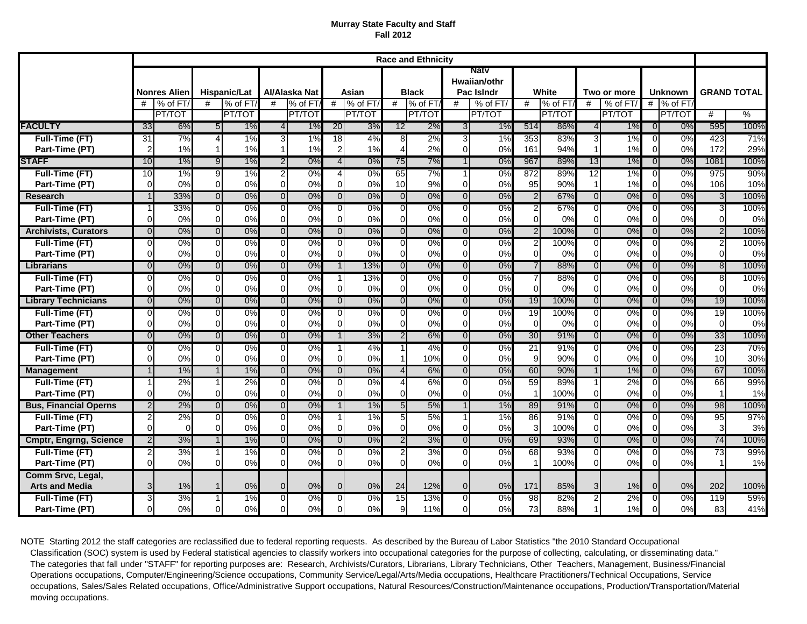## **Murray State Faculty and Staff Fall 2012**

|                                            |                     |         |                |        |                |               |                |         |                         | <b>Race and Ethnicity</b> |                                           |          |                |           |                |          |                |           |                    |               |
|--------------------------------------------|---------------------|---------|----------------|--------|----------------|---------------|----------------|---------|-------------------------|---------------------------|-------------------------------------------|----------|----------------|-----------|----------------|----------|----------------|-----------|--------------------|---------------|
|                                            | <b>Nonres Alien</b> |         | Hispanic/Lat   |        | Al/Alaska Nat  |               | Asian          |         | <b>Black</b>            |                           | <b>Natv</b><br>Hwaiian/othr<br>Pac Islndr |          | White          |           | Two or more    |          | <b>Unknown</b> |           | <b>GRAND TOTAL</b> |               |
|                                            | #                   | % of FT | #<br>% of FT/  |        | #              | % of FT       | #              | % of FT | #                       | % of FT                   | #                                         | % of FT/ | #              | $%$ of FT | #              | % of FT/ |                | # % of FT |                    |               |
|                                            |                     | PT/TOT  |                | PT/TOT |                | <b>PT/TOT</b> |                | PT/TOT  |                         | PT/TOT                    |                                           | PT/TOT   |                | PT/TOT    |                | PT/TOT   |                | PT/TOT    | #                  | $\frac{0}{6}$ |
| <b>FACULTY</b>                             | 33                  | 6%      | 5 <sub>5</sub> | 1%     | $\overline{4}$ | 1%            | 20             | 3%      | 12                      | 2%                        | 3 <sub>l</sub>                            | 1%       | 514            | 86%       | $\overline{4}$ | 1%       | 0              | 0%        | 595                | 100%          |
| Full-Time (FT)                             | $\overline{31}$     | 7%      | $\overline{4}$ | 1%     | 3              | 1%            | 18             | 4%      | 8                       | 2%                        | 3                                         | 1%       | 353            | 83%       | 3              | 1%       | $\overline{0}$ | 0%        | 423                | 71%           |
| Part-Time (PT)                             | $\overline{2}$      | 1%      |                | 1%     |                | 1%            | $\overline{c}$ | 1%      | $\overline{\mathbf{4}}$ | 2%                        | $\Omega$                                  | 0%       | 161            | 94%       | $\mathbf{1}$   | 1%       | $\Omega$       | 0%        | 172                | 29%           |
| <b>STAFF</b>                               | 10                  | 1%      | 9 <sub>l</sub> | 1%     | $\overline{2}$ | 0%            | $\overline{4}$ | 0%      | 75                      | 7%                        | $\mathbf{1}$                              | 0%       | 967            | 89%       | 13             | 1%       | $\overline{0}$ | 0%        | 1081               | 100%          |
| Full-Time (FT)                             | 10                  | 1%      | 9              | 1%     | $\overline{2}$ | 0%            | 4              | 0%      | 65                      | 7%                        | $\mathbf 1$                               | 0%       | 872            | 89%       | 12             | 1%       | $\overline{0}$ | 0%        | 975                | 90%           |
| Part-Time (PT)                             | $\Omega$            | 0%      | $\Omega$       | 0%     | $\Omega$       | 0%            | $\Omega$       | 0%      | 10                      | 9%                        | $\Omega$                                  | 0%       | 95             | 90%       | $\mathbf 1$    | 1%       | $\Omega$       | 0%        | 106                | 10%           |
| Research                                   | 1                   | 33%     | $\overline{0}$ | 0%     | $\overline{0}$ | 0%            | $\overline{0}$ | 0%      | $\overline{0}$          | 0%                        | $\overline{0}$                            | 0%       | $\overline{2}$ | 67%       | $\overline{0}$ | 0%       | $\overline{0}$ | 0%        | 3                  | 100%          |
| Full-Time (FT)                             | 1                   | 33%     | $\overline{0}$ | $0\%$  | $\overline{0}$ | 0%            | 0              | 0%      | $\overline{0}$          | 0%                        | 0                                         | $0\%$    | 2              | 67%       | ō              | 0%       | $\overline{0}$ | 0%        | 3                  | 100%          |
| Part-Time (PT)                             | $\Omega$            | 0%      | $\Omega$       | 0%     | $\Omega$       | 0%            | $\overline{0}$ | 0%      | $\overline{0}$          | 0%                        | $\Omega$                                  | 0%       | $\Omega$       | 0%        | $\Omega$       | 0%       | $\Omega$       | 0%        | $\Omega$           | 0%            |
| <b>Archivists, Curators</b>                | $\overline{0}$      | 0%      | $\overline{0}$ | 0%     | $\overline{0}$ | 0%            | $\overline{0}$ | 0%      | $\overline{0}$          | 0%                        | $\overline{0}$                            | 0%       | $\overline{2}$ | 100%      | $\overline{0}$ | 0%       | $\overline{0}$ | 0%        | $\overline{2}$     | 100%          |
| Full-Time (FT)                             | $\overline{0}$      | 0%      | $\overline{0}$ | 0%     | $\overline{0}$ | 0%            | $\overline{0}$ | 0%      | $\overline{0}$          | 0%                        | $\overline{0}$                            | 0%       | $\overline{2}$ | 100%      | 0              | 0%       | $\Omega$       | 0%        | 2                  | 100%          |
| Part-Time (PT)                             | $\mathbf 0$         | 0%      | $\Omega$       | 0%     | $\Omega$       | 0%            | $\Omega$       | 0%      | $\overline{0}$          | 0%                        | $\Omega$                                  | 0%       | $\Omega$       | 0%        | $\Omega$       | 0%       | $\Omega$       | 0%        | $\Omega$           | 0%            |
| Librarians                                 | $\overline{0}$      | 0%      | $\overline{0}$ | 0%     | $\overline{0}$ | 0%            | $\overline{1}$ | 13%     | $\overline{0}$          | 0%                        | $\overline{0}$                            | 0%       | $\overline{7}$ | 88%       | $\overline{0}$ | 0%       | $\overline{0}$ | 0%        | $\overline{8}$     | 100%          |
| Full-Time (FT)                             | $\overline{O}$      | 0%      | $\overline{0}$ | 0%     | $\overline{0}$ | 0%            | 1              | 13%     | $\overline{0}$          | 0%                        | $\overline{0}$                            | 0%       | $\overline{7}$ | 88%       | Ō              | 0%       | $\Omega$       | 0%        | œ                  | 100%          |
| Part-Time (PT)                             | $\Omega$            | 0%      | $\Omega$       | 0%     | $\Omega$       | 0%            | $\overline{0}$ | 0%      | $\overline{0}$          | 0%                        | $\overline{0}$                            | 0%       | $\Omega$       | 0%        | $\mathbf 0$    | 0%       | $\Omega$       | 0%        | $\Omega$           | 0%            |
| <b>Library Technicians</b>                 | $\overline{0}$      | 0%      | $\overline{0}$ | 0%     | $\overline{0}$ | 0%            | $\overline{0}$ | 0%      | $\overline{0}$          | 0%                        | $\overline{0}$                            | 0%       | 19             | 100%      | $\overline{0}$ | 0%       | $\Omega$       | 0%        | 19                 | 100%          |
| Full-Time (FT)                             | $\overline{O}$      | 0%      | $\overline{0}$ | $0\%$  | $\overline{0}$ | 0%            | $\overline{0}$ | 0%      | $\overline{0}$          | 0%                        | $\overline{0}$                            | 0%       | 19             | 100%      | $\overline{0}$ | 0%       | $\Omega$       | 0%        | 19                 | 100%          |
| Part-Time (PT)                             | $\mathbf 0$         | 0%      | $\Omega$       | 0%     | $\Omega$       | 0%            | $\overline{0}$ | 0%      | $\overline{0}$          | 0%                        | $\overline{0}$                            | 0%       | $\Omega$       | 0%        | $\Omega$       | 0%       | $\Omega$       | 0%        | $\overline{0}$     | 0%            |
| <b>Other Teachers</b>                      | $\overline{0}$      | 0%      | $\overline{0}$ | 0%     | $\overline{0}$ | 0%            | 1              | 3%      | $\overline{2}$          | 6%                        | $\overline{0}$                            | 0%       | 30             | 91%       | $\overline{0}$ | 0%       | $\overline{0}$ | 0%        | 33                 | 100%          |
| Full-Time (FT)                             | $\overline{0}$      | 0%      | $\overline{0}$ | 0%     | $\overline{0}$ | 0%            | 1              | 4%      | $\mathbf{1}$            | 4%                        | $\overline{0}$                            | 0%       | 21             | 91%       | ō              | 0%       | $\Omega$       | 0%        | 23                 | 70%           |
| Part-Time (PT)                             | $\mathbf 0$         | 0%      | $\Omega$       | 0%     | $\Omega$       | 0%            | $\overline{0}$ | 0%      | $\mathbf{1}$            | 10%                       | $\overline{0}$                            | 0%       | 9              | 90%       | $\mathbf 0$    | 0%       | $\Omega$       | 0%        | 10 <sup>1</sup>    | 30%           |
| <b>Management</b>                          | $\overline{1}$      | 1%      | $\overline{1}$ | 1%     | $\overline{0}$ | 0%            | $\overline{0}$ | 0%      | $\overline{4}$          | 6%                        | $\overline{0}$                            | 0%       | 60             | 90%       | $\overline{1}$ | 1%       | $\overline{0}$ | 0%        | 67                 | 100%          |
| Full-Time (FT)                             | $\mathbf{1}$        | 2%      |                | 2%     | $\overline{0}$ | 0%            | $\overline{0}$ | 0%      | $\overline{4}$          | 6%                        | $\overline{0}$                            | 0%       | 59             | 89%       | 1              | 2%       | $\overline{0}$ | 0%        | 66                 | 99%           |
| Part-Time (PT)                             | $\overline{0}$      | 0%      | $\Omega$       | 0%     | $\Omega$       | 0%            | $\mathbf 0$    | 0%      | $\overline{0}$          | 0%                        | $\overline{0}$                            | 0%       | $\mathbf 1$    | 100%      | $\mathbf 0$    | 0%       | $\Omega$       | 0%        | $\mathbf 1$        | 1%            |
| <b>Bus, Financial Operns</b>               | $\overline{2}$      | 2%      | $\overline{0}$ | 0%     | $\overline{0}$ | 0%            | $\mathbf{1}$   | 1%      | 5                       | 5%                        | $\overline{1}$                            | 1%       | 89             | 91%       | $\overline{0}$ | 0%       | $\overline{0}$ | 0%        | 98                 | 100%          |
| Full-Time (FT)                             | 2                   | 2%      | $\overline{0}$ | 0%     | $\overline{0}$ | 0%            | 1              | 1%      | $5 \vert$               | 5%                        | $\mathbf{1}$                              | 1%       | 86             | 91%       | ō              | 0%       | $\overline{0}$ | 0%        | 95                 | 97%           |
| Part-Time (PT)                             | $\Omega$            |         | $\Omega$       | 0%     | $\Omega$       | 0%            | $\mathbf 0$    | 0%      | $\overline{0}$          | 0%                        | $\overline{0}$                            | 0%       | 3              | 100%      | $\Omega$       | 0%       | $\Omega$       | 0%        | 3                  | 3%            |
| <b>Cmptr, Engrng, Science</b>              | $\overline{2}$      | 3%      | $\overline{1}$ | 1%     | $\overline{0}$ | 0%            | $\overline{0}$ | 0%      | $\overline{2}$          | 3%                        | $\overline{0}$                            | 0%       | 69             | 93%       | $\overline{0}$ | 0%       | $\overline{0}$ | 0%        | 74                 | 100%          |
| Full-Time (FT)                             | $\overline{2}$      | 3%      |                | 1%     | $\overline{0}$ | 0%            | $\overline{0}$ | 0%      | $2 \overline{)}$        | 3%                        | $\overline{0}$                            | 0%       | 68             | 93%       | Ō              | 0%       | $\Omega$       | 0%        | 73                 | 99%           |
| Part-Time (PT)                             | $\mathbf 0$         | 0%      | $\Omega$       | 0%     | $\Omega$       | 0%            | $\overline{0}$ | 0%      | $\Omega$                | 0%                        | $\Omega$                                  | 0%       |                | 100%      | $\Omega$       | 0%       | $\Omega$       | 0%        | 1                  | 1%            |
| Comm Srvc, Legal,<br><b>Arts and Media</b> | 3                   | 1%      |                | 0%     | $\Omega$       | 0%            | $\overline{0}$ | 0%      | 24                      | 12%                       | $\Omega$                                  | 0%       | 171            | 85%       | 3              | 1%       | $\Omega$       | 0%        | 202                | 100%          |
| Full-Time (FT)                             | 3                   | 3%      |                | 1%     | $\overline{0}$ | 0%            | $\overline{0}$ | 0%      | 15                      | 13%                       | $\overline{0}$                            | 0%       | 98             | 82%       | $\overline{c}$ | 2%       | 0              | 0%        | 119                | 59%           |
| Part-Time (PT)                             | $\Omega$            | 0%      | $\Omega$       | 0%     | $\Omega$       | 0%            | $\mathbf 0$    | 0%      | 9 <sub>l</sub>          | 11%                       | $\Omega$                                  | 0%       | 73             | 88%       | 1              | 1%       |                | 0%        | 83                 | 41%           |

NOTE Starting 2012 the staff categories are reclassified due to federal reporting requests. As described by the Bureau of Labor Statistics "the 2010 Standard Occupational Classification (SOC) system is used by Federal statistical agencies to classify workers into occupational categories for the purpose of collecting, calculating, or disseminating data." The categories that fall under "STAFF" for reporting purposes are: Research, Archivists/Curators, Librarians, Library Technicians, Other Teachers, Management, Business/Financial Operations occupations, Computer/Engineering/Science occupations, Community Service/Legal/Arts/Media occupations, Healthcare Practitioners/Technical Occupations, Service occupations, Sales/Sales Related occupations, Office/Administrative Support occupations, Natural Resources/Construction/Maintenance occupations, Production/Transportation/Material moving occupations.